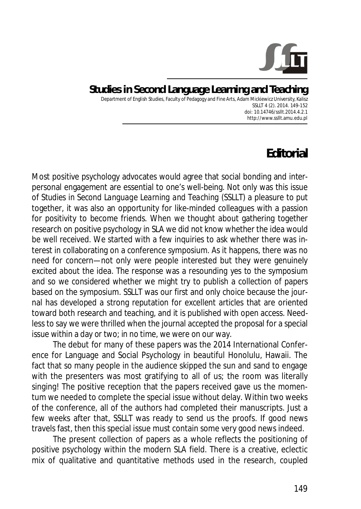

**Studies in Second Language Learning and Teaching**  Department of English Studies, Faculty of Pedagogy and Fine Arts, Adam Mickiewicz University, Kalisz SSLLT 4 (2). 2014. 149-152 *doi: 10.14746/ssllt.2014.4.2.1* http://www.ssllt.amu.edu.pl

## **Editorial**

Most positive psychology advocates would agree that social bonding and interpersonal engagement are essential to one's well-being. Not only was this issue of *Studies in Second Language Learning and Teaching* (*SSLLT*) a pleasure to put together, it was also an opportunity for like-minded colleagues with a passion for positivity to become friends. When we thought about gathering together research on positive psychology in SLA we did not know whether the idea would be well received. We started with a few inquiries to ask whether there was interest in collaborating on a conference symposium. As it happens, there was no need for concern—not only were people interested but they were genuinely excited about the idea. The response was a resounding *yes* to the symposium and so we considered whether we might try to publish a collection of papers based on the symposium. *SSLLT* was our first and only choice because the journal has developed a strong reputation for excellent articles that are oriented toward both research and teaching, and it is published with open access. Needless to say we were thrilled when the journal accepted the proposal for a special issue within a day or two; in no time, we were on our way.

The debut for many of these papers was the 2014 International Conference for Language and Social Psychology in beautiful Honolulu, Hawaii. The fact that so many people in the audience skipped the sun and sand to engage with the presenters was most gratifying to all of us; the room was literally singing! The positive reception that the papers received gave us the momentum we needed to complete the special issue without delay. Within two weeks of the conference, all of the authors had completed their manuscripts. Just a few weeks after that, *SSLLT* was ready to send us the proofs. If good news travels fast, then this special issue must contain some very good news indeed.

The present collection of papers as a whole reflects the positioning of positive psychology within the modern SLA field. There is a creative, eclectic mix of qualitative and quantitative methods used in the research, coupled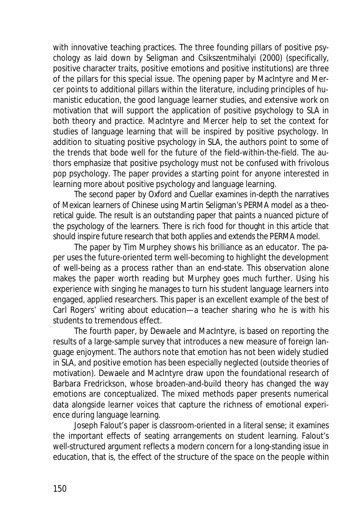with innovative teaching practices. The three founding pillars of positive psychology as laid down by Seligman and Csikszentmihalyi (2000) (specifically, positive character traits, positive emotions and positive institutions) are three of the pillars for this special issue. The opening paper by MacIntyre and Mercer points to additional pillars within the literature, including principles of humanistic education, the good language learner studies, and extensive work on motivation that will support the application of positive psychology to SLA in both theory and practice. MacIntyre and Mercer help to set the context for studies of language learning that will be inspired by positive psychology. In addition to situating positive psychology in SLA, the authors point to some of the trends that bode well for the future of the field-within-the-field. The authors emphasize that positive psychology must not be confused with frivolous pop psychology. The paper provides a starting point for anyone interested in learning more about positive psychology and language learning.

The second paper by Oxford and Cuellar examines in-depth the narratives of Mexican learners of Chinese using Martin Seligman's PERMA model as a theoretical guide. The result is an outstanding paper that paints a nuanced picture of the psychology of the learners. There is rich food for thought in this article that should inspire future research that both applies and extends the PERMA model.

The paper by Tim Murphey shows his brilliance as an educator. The paper uses the future-oriented term *well-becoming* to highlight the development of well-being as a process rather than an end-state. This observation alone makes the paper worth reading but Murphey goes much further. Using his experience with singing he manages to turn his student language learners into engaged, applied researchers. This paper is an excellent example of the best of Carl Rogers' writing about education—a teacher sharing who he is with his students to tremendous effect.

The fourth paper, by Dewaele and MacIntyre, is based on reporting the results of a large-sample survey that introduces a new measure of foreign language enjoyment. The authors note that emotion has not been widely studied in SLA, and positive emotion has been especially neglected (outside theories of motivation). Dewaele and MacIntyre draw upon the foundational research of Barbara Fredrickson, whose broaden-and-build theory has changed the way emotions are conceptualized. The mixed methods paper presents numerical data alongside learner voices that capture the richness of emotional experience during language learning.

Joseph Falout's paper is classroom-oriented in a literal sense; it examines the important effects of seating arrangements on student learning. Falout's well-structured argument reflects a modern concern for a long-standing issue in education, that is, the effect of the structure of the space on the people within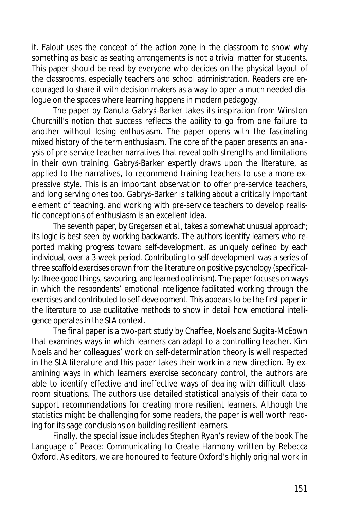it. Falout uses the concept of the action zone in the classroom to show why something as basic as seating arrangements is not a trivial matter for students. This paper should be read by everyone who decides on the physical layout of the classrooms, especially teachers and school administration. Readers are encouraged to share it with decision makers as a way to open a much needed dialogue on the spaces where learning happens in modern pedagogy.

The paper by Danuta Gabrys-Barker takes its inspiration from Winston Churchill's notion that success reflects the ability to go from one failure to another without losing enthusiasm. The paper opens with the fascinating mixed history of the term *enthusiasm*. The core of the paper presents an analysis of pre-service teacher narratives that reveal both strengths and limitations in their own training. Gabrys-Barker expertly draws upon the literature, as applied to the narratives, to recommend training teachers to use a more expressive style. This is an important observation to offer pre-service teachers, and long serving ones too. Gabrys-Barker is talking about a critically important element of teaching, and working with pre-service teachers to develop realistic conceptions of enthusiasm is an excellent idea.

The seventh paper, by Gregersen et al., takes a somewhat unusual approach; its logic is best seen by working backwards. The authors identify learners who reported making progress toward self-development, as uniquely defined by each individual, over a 3-week period. Contributing to self-development was a series of three scaffold exercises drawn from the literature on positive psychology (specifically: three good things, savouring, and learned optimism). The paper focuses on ways in which the respondents' emotional intelligence facilitated working through the exercises and contributed to self-development. This appears to be the first paper in the literature to use qualitative methods to show in detail *how* emotional intelligence operates in the SLA context.

The final paper is a two-part study by Chaffee, Noels and Sugita-McEown that examines ways in which learners can adapt to a controlling teacher. Kim Noels and her colleagues' work on self-determination theory is well respected in the SLA literature and this paper takes their work in a new direction. By examining ways in which learners exercise secondary control, the authors are able to identify effective and ineffective ways of dealing with difficult classroom situations. The authors use detailed statistical analysis of their data to support recommendations for creating more resilient learners. Although the statistics might be challenging for some readers, the paper is well worth reading for its sage conclusions on building resilient learners.

Finally, the special issue includes Stephen Ryan's review of the book *The Language of Peace: Communicating to Create Harmony* written by Rebecca Oxford. As editors, we are honoured to feature Oxford's highly original work in